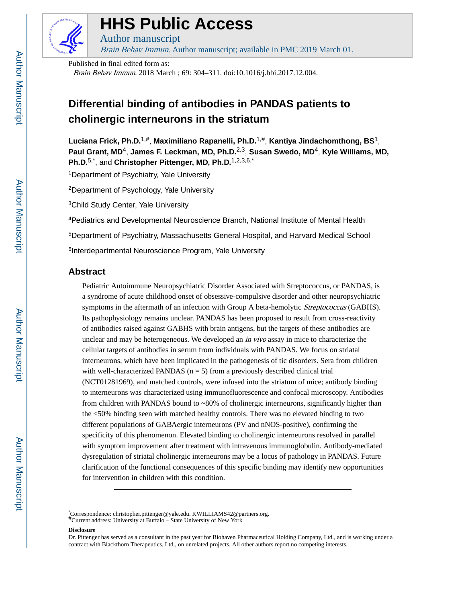

# **HHS Public Access**

Author manuscript Brain Behav Immun. Author manuscript; available in PMC 2019 March 01.

Published in final edited form as: Brain Behav Immun. 2018 March ; 69: 304–311. doi:10.1016/j.bbi.2017.12.004.

## **Differential binding of antibodies in PANDAS patients to cholinergic interneurons in the striatum**

**Luciana Frick, Ph.D.**1,#, **Maximiliano Rapanelli, Ph.D.**1,#, **Kantiya Jindachomthong, BS**1, **Paul Grant, MD**4, **James F. Leckman, MD, Ph.D.**2,3, **Susan Swedo, MD**4, **Kyle Williams, MD, Ph.D.**5,\*, and **Christopher Pittenger, MD, Ph.D.**1,2,3,6,\*

<sup>1</sup>Department of Psychiatry, Yale University

<sup>2</sup>Department of Psychology, Yale University

<sup>3</sup>Child Study Center, Yale University

<sup>4</sup>Pediatrics and Developmental Neuroscience Branch, National Institute of Mental Health <sup>5</sup>Department of Psychiatry, Massachusetts General Hospital, and Harvard Medical School <sup>6</sup>Interdepartmental Neuroscience Program, Yale University

## **Abstract**

Pediatric Autoimmune Neuropsychiatric Disorder Associated with Streptococcus, or PANDAS, is a syndrome of acute childhood onset of obsessive-compulsive disorder and other neuropsychiatric symptoms in the aftermath of an infection with Group A beta-hemolytic *Streptococcus* (GABHS). Its pathophysiology remains unclear. PANDAS has been proposed to result from cross-reactivity of antibodies raised against GABHS with brain antigens, but the targets of these antibodies are unclear and may be heterogeneous. We developed an *in vivo* assay in mice to characterize the cellular targets of antibodies in serum from individuals with PANDAS. We focus on striatal interneurons, which have been implicated in the pathogenesis of tic disorders. Sera from children with well-characterized PANDAS ( $n = 5$ ) from a previously described clinical trial (NCT01281969), and matched controls, were infused into the striatum of mice; antibody binding to interneurons was characterized using immunofluorescence and confocal microscopy. Antibodies from children with PANDAS bound to ~80% of cholinergic interneurons, significantly higher than the <50% binding seen with matched healthy controls. There was no elevated binding to two different populations of GABAergic interneurons (PV and nNOS-positive), confirming the specificity of this phenomenon. Elevated binding to cholinergic interneurons resolved in parallel with symptom improvement after treatment with intravenous immunoglobulin. Antibody-mediated dysregulation of striatal cholinergic interneurons may be a locus of pathology in PANDAS. Future clarification of the functional consequences of this specific binding may identify new opportunities for intervention in children with this condition.

#### **Disclosure**

<sup>\*</sup>Correspondence: christopher.pittenger@yale.edu. KWILLIAMS42@partners.org.<br>#Current address: University at Buffalo – State University of New York

Dr. Pittenger has served as a consultant in the past year for Biohaven Pharmaceutical Holding Company, Ltd., and is working under a contract with Blackthorn Therapeutics, Ltd., on unrelated projects. All other authors report no competing interests.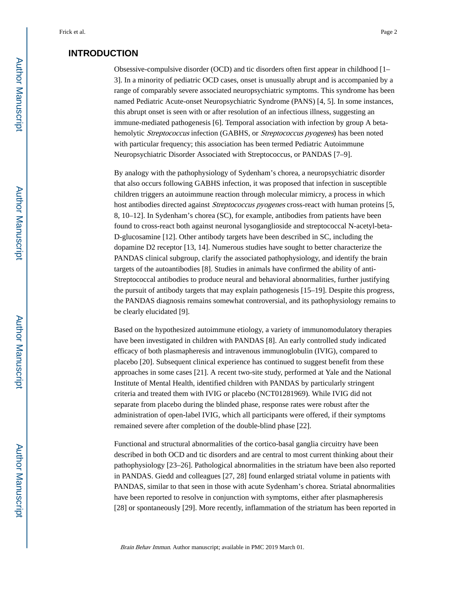## **INTRODUCTION**

Obsessive-compulsive disorder (OCD) and tic disorders often first appear in childhood [1– 3]. In a minority of pediatric OCD cases, onset is unusually abrupt and is accompanied by a range of comparably severe associated neuropsychiatric symptoms. This syndrome has been named Pediatric Acute-onset Neuropsychiatric Syndrome (PANS) [4, 5]. In some instances, this abrupt onset is seen with or after resolution of an infectious illness, suggesting an immune-mediated pathogenesis [6]. Temporal association with infection by group A betahemolytic Streptococcus infection (GABHS, or Streptococcus pyogenes) has been noted with particular frequency; this association has been termed Pediatric Autoimmune Neuropsychiatric Disorder Associated with Streptococcus, or PANDAS [7–9].

By analogy with the pathophysiology of Sydenham's chorea, a neuropsychiatric disorder that also occurs following GABHS infection, it was proposed that infection in susceptible children triggers an autoimmune reaction through molecular mimicry, a process in which host antibodies directed against *Streptococcus pyogenes* cross-react with human proteins [5, 8, 10–12]. In Sydenham's chorea (SC), for example, antibodies from patients have been found to cross-react both against neuronal lysoganglioside and streptococcal N-acetyl-beta-D-glucosamine [12]. Other antibody targets have been described in SC, including the dopamine D2 receptor [13, 14]. Numerous studies have sought to better characterize the PANDAS clinical subgroup, clarify the associated pathophysiology, and identify the brain targets of the autoantibodies [8]. Studies in animals have confirmed the ability of anti-Streptococcal antibodies to produce neural and behavioral abnormalities, further justifying the pursuit of antibody targets that may explain pathogenesis [15–19]. Despite this progress, the PANDAS diagnosis remains somewhat controversial, and its pathophysiology remains to be clearly elucidated [9].

Based on the hypothesized autoimmune etiology, a variety of immunomodulatory therapies have been investigated in children with PANDAS [8]. An early controlled study indicated efficacy of both plasmapheresis and intravenous immunoglobulin (IVIG), compared to placebo [20]. Subsequent clinical experience has continued to suggest benefit from these approaches in some cases [21]. A recent two-site study, performed at Yale and the National Institute of Mental Health, identified children with PANDAS by particularly stringent criteria and treated them with IVIG or placebo (NCT01281969). While IVIG did not separate from placebo during the blinded phase, response rates were robust after the administration of open-label IVIG, which all participants were offered, if their symptoms remained severe after completion of the double-blind phase [22].

Functional and structural abnormalities of the cortico-basal ganglia circuitry have been described in both OCD and tic disorders and are central to most current thinking about their pathophysiology [23–26]. Pathological abnormalities in the striatum have been also reported in PANDAS. Giedd and colleagues [27, 28] found enlarged striatal volume in patients with PANDAS, similar to that seen in those with acute Sydenham's chorea. Striatal abnormalities have been reported to resolve in conjunction with symptoms, either after plasmapheresis [28] or spontaneously [29]. More recently, inflammation of the striatum has been reported in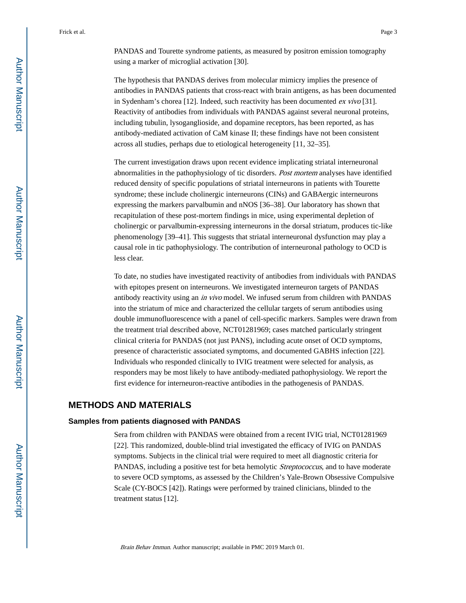PANDAS and Tourette syndrome patients, as measured by positron emission tomography using a marker of microglial activation [30].

The hypothesis that PANDAS derives from molecular mimicry implies the presence of antibodies in PANDAS patients that cross-react with brain antigens, as has been documented in Sydenham's chorea [12]. Indeed, such reactivity has been documented ex vivo [31]. Reactivity of antibodies from individuals with PANDAS against several neuronal proteins, including tubulin, lysoganglioside, and dopamine receptors, has been reported, as has antibody-mediated activation of CaM kinase II; these findings have not been consistent across all studies, perhaps due to etiological heterogeneity [11, 32–35].

The current investigation draws upon recent evidence implicating striatal interneuronal abnormalities in the pathophysiology of tic disorders. Post mortem analyses have identified reduced density of specific populations of striatal interneurons in patients with Tourette syndrome; these include cholinergic interneurons (CINs) and GABAergic interneurons expressing the markers parvalbumin and nNOS [36–38]. Our laboratory has shown that recapitulation of these post-mortem findings in mice, using experimental depletion of cholinergic or parvalbumin-expressing interneurons in the dorsal striatum, produces tic-like phenomenology [39–41]. This suggests that striatal interneuronal dysfunction may play a causal role in tic pathophysiology. The contribution of interneuronal pathology to OCD is less clear.

To date, no studies have investigated reactivity of antibodies from individuals with PANDAS with epitopes present on interneurons. We investigated interneuron targets of PANDAS antibody reactivity using an in vivo model. We infused serum from children with PANDAS into the striatum of mice and characterized the cellular targets of serum antibodies using double immunofluorescence with a panel of cell-specific markers. Samples were drawn from the treatment trial described above, NCT01281969; cases matched particularly stringent clinical criteria for PANDAS (not just PANS), including acute onset of OCD symptoms, presence of characteristic associated symptoms, and documented GABHS infection [22]. Individuals who responded clinically to IVIG treatment were selected for analysis, as responders may be most likely to have antibody-mediated pathophysiology. We report the first evidence for interneuron-reactive antibodies in the pathogenesis of PANDAS.

## **METHODS AND MATERIALS**

#### **Samples from patients diagnosed with PANDAS**

Sera from children with PANDAS were obtained from a recent IVIG trial, NCT01281969 [22]. This randomized, double-blind trial investigated the efficacy of IVIG on PANDAS symptoms. Subjects in the clinical trial were required to meet all diagnostic criteria for PANDAS, including a positive test for beta hemolytic *Streptococcus*, and to have moderate to severe OCD symptoms, as assessed by the Children's Yale-Brown Obsessive Compulsive Scale (CY-BOCS [42]). Ratings were performed by trained clinicians, blinded to the treatment status [12].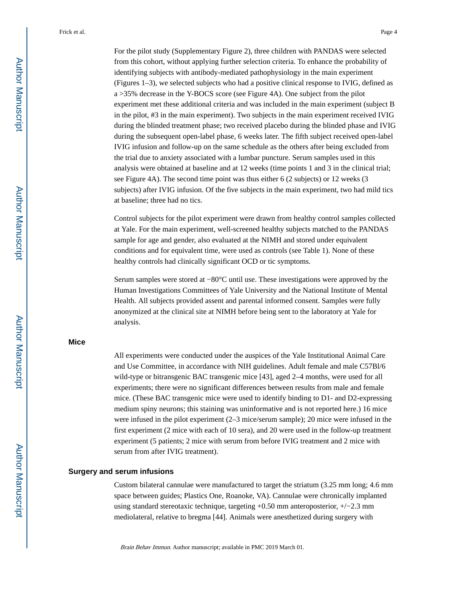For the pilot study (Supplementary Figure 2), three children with PANDAS were selected from this cohort, without applying further selection criteria. To enhance the probability of identifying subjects with antibody-mediated pathophysiology in the main experiment (Figures 1–3), we selected subjects who had a positive clinical response to IVIG, defined as a >35% decrease in the Y-BOCS score (see Figure 4A). One subject from the pilot experiment met these additional criteria and was included in the main experiment (subject B in the pilot, #3 in the main experiment). Two subjects in the main experiment received IVIG during the blinded treatment phase; two received placebo during the blinded phase and IVIG during the subsequent open-label phase, 6 weeks later. The fifth subject received open-label IVIG infusion and follow-up on the same schedule as the others after being excluded from the trial due to anxiety associated with a lumbar puncture. Serum samples used in this analysis were obtained at baseline and at 12 weeks (time points 1 and 3 in the clinical trial; see Figure 4A). The second time point was thus either 6 (2 subjects) or 12 weeks (3 subjects) after IVIG infusion. Of the five subjects in the main experiment, two had mild tics at baseline; three had no tics.

Control subjects for the pilot experiment were drawn from healthy control samples collected at Yale. For the main experiment, well-screened healthy subjects matched to the PANDAS sample for age and gender, also evaluated at the NIMH and stored under equivalent conditions and for equivalent time, were used as controls (see Table 1). None of these healthy controls had clinically significant OCD or tic symptoms.

Serum samples were stored at −80°C until use. These investigations were approved by the Human Investigations Committees of Yale University and the National Institute of Mental Health. All subjects provided assent and parental informed consent. Samples were fully anonymized at the clinical site at NIMH before being sent to the laboratory at Yale for analysis.

## **Mice**

All experiments were conducted under the auspices of the Yale Institutional Animal Care and Use Committee, in accordance with NIH guidelines. Adult female and male C57Bl/6 wild-type or bitransgenic BAC transgenic mice [43], aged 2–4 months, were used for all experiments; there were no significant differences between results from male and female mice. (These BAC transgenic mice were used to identify binding to D1- and D2-expressing medium spiny neurons; this staining was uninformative and is not reported here.) 16 mice were infused in the pilot experiment (2–3 mice/serum sample); 20 mice were infused in the first experiment (2 mice with each of 10 sera), and 20 were used in the follow-up treatment experiment (5 patients; 2 mice with serum from before IVIG treatment and 2 mice with serum from after IVIG treatment).

### **Surgery and serum infusions**

Custom bilateral cannulae were manufactured to target the striatum (3.25 mm long; 4.6 mm space between guides; Plastics One, Roanoke, VA). Cannulae were chronically implanted using standard stereotaxic technique, targeting +0.50 mm anteroposterior, +/−2.3 mm mediolateral, relative to bregma [44]. Animals were anesthetized during surgery with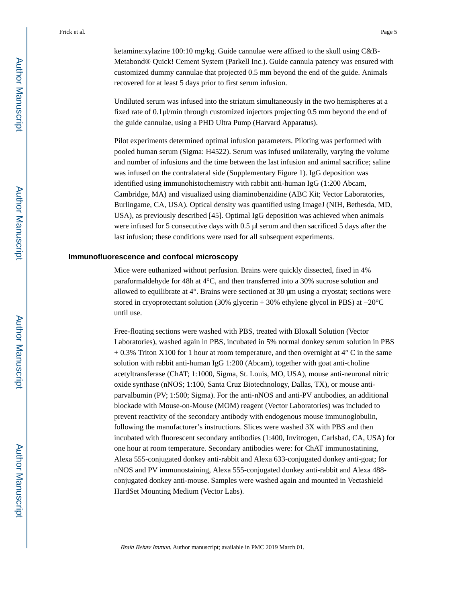Undiluted serum was infused into the striatum simultaneously in the two hemispheres at a fixed rate of 0.1μl/min through customized injectors projecting 0.5 mm beyond the end of the guide cannulae, using a PHD Ultra Pump (Harvard Apparatus).

Pilot experiments determined optimal infusion parameters. Piloting was performed with pooled human serum (Sigma: H4522). Serum was infused unilaterally, varying the volume and number of infusions and the time between the last infusion and animal sacrifice; saline was infused on the contralateral side (Supplementary Figure 1). IgG deposition was identified using immunohistochemistry with rabbit anti-human IgG (1:200 Abcam, Cambridge, MA) and visualized using diaminobenzidine (ABC Kit; Vector Laboratories, Burlingame, CA, USA). Optical density was quantified using ImageJ (NIH, Bethesda, MD, USA), as previously described [45]. Optimal IgG deposition was achieved when animals were infused for 5 consecutive days with 0.5 μl serum and then sacrificed 5 days after the last infusion; these conditions were used for all subsequent experiments.

#### **Immunofluorescence and confocal microscopy**

Mice were euthanized without perfusion. Brains were quickly dissected, fixed in 4% paraformaldehyde for 48h at 4°C, and then transferred into a 30% sucrose solution and allowed to equilibrate at 4°. Brains were sectioned at 30 μm using a cryostat; sections were stored in cryoprotectant solution (30% glycerin + 30% ethylene glycol in PBS) at −20°C until use.

Free-floating sections were washed with PBS, treated with Bloxall Solution (Vector Laboratories), washed again in PBS, incubated in 5% normal donkey serum solution in PBS  $+ 0.3\%$  Triton X100 for 1 hour at room temperature, and then overnight at  $4^{\circ}$  C in the same solution with rabbit anti-human IgG 1:200 (Abcam), together with goat anti-choline acetyltransferase (ChAT; 1:1000, Sigma, St. Louis, MO, USA), mouse anti-neuronal nitric oxide synthase (nNOS; 1:100, Santa Cruz Biotechnology, Dallas, TX), or mouse antiparvalbumin (PV; 1:500; Sigma). For the anti-nNOS and anti-PV antibodies, an additional blockade with Mouse-on-Mouse (MOM) reagent (Vector Laboratories) was included to prevent reactivity of the secondary antibody with endogenous mouse immunoglobulin, following the manufacturer's instructions. Slices were washed 3X with PBS and then incubated with fluorescent secondary antibodies (1:400, Invitrogen, Carlsbad, CA, USA) for one hour at room temperature. Secondary antibodies were: for ChAT immunostatining, Alexa 555-conjugated donkey anti-rabbit and Alexa 633-conjugated donkey anti-goat; for nNOS and PV immunostaining, Alexa 555-conjugated donkey anti-rabbit and Alexa 488 conjugated donkey anti-mouse. Samples were washed again and mounted in Vectashield HardSet Mounting Medium (Vector Labs).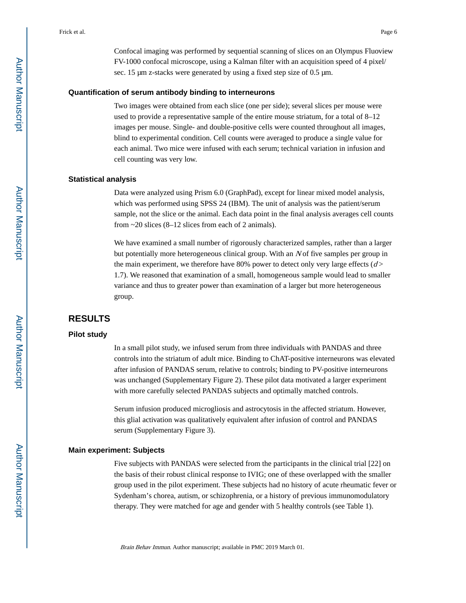Confocal imaging was performed by sequential scanning of slices on an Olympus Fluoview FV-1000 confocal microscope, using a Kalman filter with an acquisition speed of 4 pixel/ sec. 15 μm z-stacks were generated by using a fixed step size of 0.5 μm.

#### **Quantification of serum antibody binding to interneurons**

Two images were obtained from each slice (one per side); several slices per mouse were used to provide a representative sample of the entire mouse striatum, for a total of 8–12 images per mouse. Single- and double-positive cells were counted throughout all images, blind to experimental condition. Cell counts were averaged to produce a single value for each animal. Two mice were infused with each serum; technical variation in infusion and cell counting was very low.

#### **Statistical analysis**

Data were analyzed using Prism 6.0 (GraphPad), except for linear mixed model analysis, which was performed using SPSS 24 (IBM). The unit of analysis was the patient/serum sample, not the slice or the animal. Each data point in the final analysis averages cell counts from  $\sim$  20 slices (8–12 slices from each of 2 animals).

We have examined a small number of rigorously characterized samples, rather than a larger but potentially more heterogeneous clinical group. With an  $N$  of five samples per group in the main experiment, we therefore have 80% power to detect only very large effects  $(d)$ 1.7). We reasoned that examination of a small, homogeneous sample would lead to smaller variance and thus to greater power than examination of a larger but more heterogeneous group.

## **RESULTS**

## **Pilot study**

In a small pilot study, we infused serum from three individuals with PANDAS and three controls into the striatum of adult mice. Binding to ChAT-positive interneurons was elevated after infusion of PANDAS serum, relative to controls; binding to PV-positive interneurons was unchanged (Supplementary Figure 2). These pilot data motivated a larger experiment with more carefully selected PANDAS subjects and optimally matched controls.

Serum infusion produced microgliosis and astrocytosis in the affected striatum. However, this glial activation was qualitatively equivalent after infusion of control and PANDAS serum (Supplementary Figure 3).

#### **Main experiment: Subjects**

Five subjects with PANDAS were selected from the participants in the clinical trial [22] on the basis of their robust clinical response to IVIG; one of these overlapped with the smaller group used in the pilot experiment. These subjects had no history of acute rheumatic fever or Sydenham's chorea, autism, or schizophrenia, or a history of previous immunomodulatory therapy. They were matched for age and gender with 5 healthy controls (see Table 1).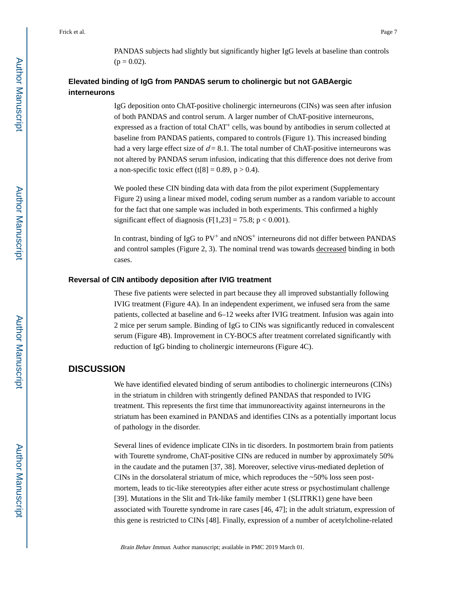PANDAS subjects had slightly but significantly higher IgG levels at baseline than controls  $(p = 0.02)$ .

## **Elevated binding of IgG from PANDAS serum to cholinergic but not GABAergic interneurons**

IgG deposition onto ChAT-positive cholinergic interneurons (CINs) was seen after infusion of both PANDAS and control serum. A larger number of ChAT-positive interneurons, expressed as a fraction of total ChAT+ cells, was bound by antibodies in serum collected at baseline from PANDAS patients, compared to controls (Figure 1). This increased binding had a very large effect size of  $d = 8.1$ . The total number of ChAT-positive interneurons was not altered by PANDAS serum infusion, indicating that this difference does not derive from a non-specific toxic effect (t[8] = 0.89,  $p > 0.4$ ).

We pooled these CIN binding data with data from the pilot experiment (Supplementary Figure 2) using a linear mixed model, coding serum number as a random variable to account for the fact that one sample was included in both experiments. This confirmed a highly significant effect of diagnosis (F[1,23] = 75.8;  $p < 0.001$ ).

In contrast, binding of IgG to  $PV^+$  and  $nNOS^+$  interneurons did not differ between PANDAS and control samples (Figure 2, 3). The nominal trend was towards decreased binding in both cases.

#### **Reversal of CIN antibody deposition after IVIG treatment**

These five patients were selected in part because they all improved substantially following IVIG treatment (Figure 4A). In an independent experiment, we infused sera from the same patients, collected at baseline and 6–12 weeks after IVIG treatment. Infusion was again into 2 mice per serum sample. Binding of IgG to CINs was significantly reduced in convalescent serum (Figure 4B). Improvement in CY-BOCS after treatment correlated significantly with reduction of IgG binding to cholinergic interneurons (Figure 4C).

## **DISCUSSION**

We have identified elevated binding of serum antibodies to cholinergic interneurons (CINs) in the striatum in children with stringently defined PANDAS that responded to IVIG treatment. This represents the first time that immunoreactivity against interneurons in the striatum has been examined in PANDAS and identifies CINs as a potentially important locus of pathology in the disorder.

Several lines of evidence implicate CINs in tic disorders. In postmortem brain from patients with Tourette syndrome, ChAT-positive CINs are reduced in number by approximately 50% in the caudate and the putamen [37, 38]. Moreover, selective virus-mediated depletion of CINs in the dorsolateral striatum of mice, which reproduces the ~50% loss seen postmortem, leads to tic-like stereotypies after either acute stress or psychostimulant challenge [39]. Mutations in the Slit and Trk-like family member 1 (SLITRK1) gene have been associated with Tourette syndrome in rare cases [46, 47]; in the adult striatum, expression of this gene is restricted to CINs [48]. Finally, expression of a number of acetylcholine-related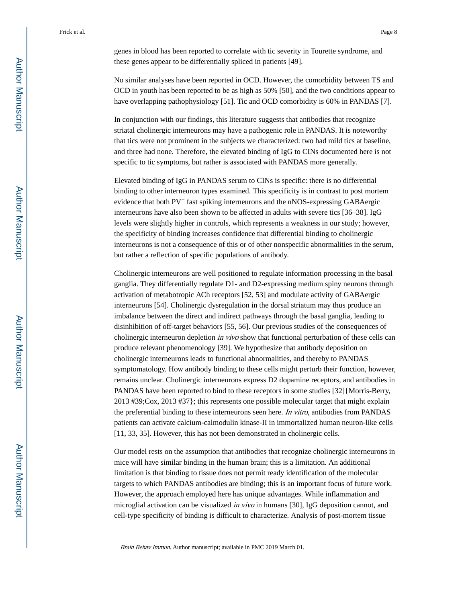genes in blood has been reported to correlate with tic severity in Tourette syndrome, and these genes appear to be differentially spliced in patients [49].

No similar analyses have been reported in OCD. However, the comorbidity between TS and OCD in youth has been reported to be as high as 50% [50], and the two conditions appear to have overlapping pathophysiology [51]. Tic and OCD comorbidity is 60% in PANDAS [7].

In conjunction with our findings, this literature suggests that antibodies that recognize striatal cholinergic interneurons may have a pathogenic role in PANDAS. It is noteworthy that tics were not prominent in the subjects we characterized: two had mild tics at baseline, and three had none. Therefore, the elevated binding of IgG to CINs documented here is not specific to tic symptoms, but rather is associated with PANDAS more generally.

Elevated binding of IgG in PANDAS serum to CINs is specific: there is no differential binding to other interneuron types examined. This specificity is in contrast to post mortem evidence that both  $PV^{+}$  fast spiking interneurons and the nNOS-expressing GABAergic interneurons have also been shown to be affected in adults with severe tics [36–38]. IgG levels were slightly higher in controls, which represents a weakness in our study; however, the specificity of binding increases confidence that differential binding to cholinergic interneurons is not a consequence of this or of other nonspecific abnormalities in the serum, but rather a reflection of specific populations of antibody.

Cholinergic interneurons are well positioned to regulate information processing in the basal ganglia. They differentially regulate D1- and D2-expressing medium spiny neurons through activation of metabotropic ACh receptors [52, 53] and modulate activity of GABAergic interneurons [54]. Cholinergic dysregulation in the dorsal striatum may thus produce an imbalance between the direct and indirect pathways through the basal ganglia, leading to disinhibition of off-target behaviors [55, 56]. Our previous studies of the consequences of cholinergic interneuron depletion *in vivo* show that functional perturbation of these cells can produce relevant phenomenology [39]. We hypothesize that antibody deposition on cholinergic interneurons leads to functional abnormalities, and thereby to PANDAS symptomatology. How antibody binding to these cells might perturb their function, however, remains unclear. Cholinergic interneurons express D2 dopamine receptors, and antibodies in PANDAS have been reported to bind to these receptors in some studies [32]{Morris-Berry, 2013 #39;Cox, 2013 #37}; this represents one possible molecular target that might explain the preferential binding to these interneurons seen here. In vitro, antibodies from PANDAS patients can activate calcium-calmodulin kinase-II in immortalized human neuron-like cells [11, 33, 35]. However, this has not been demonstrated in cholinergic cells.

Our model rests on the assumption that antibodies that recognize cholinergic interneurons in mice will have similar binding in the human brain; this is a limitation. An additional limitation is that binding to tissue does not permit ready identification of the molecular targets to which PANDAS antibodies are binding; this is an important focus of future work. However, the approach employed here has unique advantages. While inflammation and microglial activation can be visualized in vivo in humans [30], IgG deposition cannot, and cell-type specificity of binding is difficult to characterize. Analysis of post-mortem tissue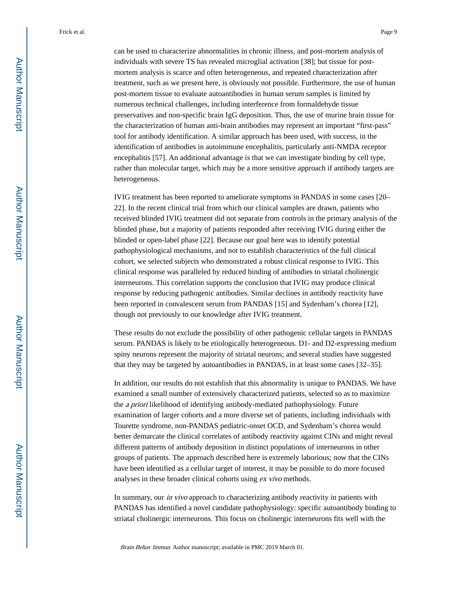can be used to characterize abnormalities in chronic illness, and post-mortem analysis of individuals with severe TS has revealed microglial activation [38]; but tissue for postmortem analysis is scarce and often heterogeneous, and repeated characterization after treatment, such as we present here, is obviously not possible. Furthermore, the use of human post-mortem tissue to evaluate autoantibodies in human serum samples is limited by numerous technical challenges, including interference from formaldehyde tissue preservatives and non-specific brain IgG deposition. Thus, the use of murine brain tissue for the characterization of human anti-brain antibodies may represent an important "first-pass" tool for antibody identification. A similar approach has been used, with success, in the identification of antibodies in autoimmune encephalitis, particularly anti-NMDA receptor encephalitis [57]. An additional advantage is that we can investigate binding by cell type, rather than molecular target, which may be a more sensitive approach if antibody targets are heterogeneous.

IVIG treatment has been reported to ameliorate symptoms in PANDAS in some cases [20– 22]. In the recent clinical trial from which our clinical samples are drawn, patients who received blinded IVIG treatment did not separate from controls in the primary analysis of the blinded phase, but a majority of patients responded after receiving IVIG during either the blinded or open-label phase [22]. Because our goal here was to identify potential pathophysiological mechanisms, and not to establish characteristics of the full clinical cohort, we selected subjects who demonstrated a robust clinical response to IVIG. This clinical response was paralleled by reduced binding of antibodies to striatal cholinergic interneurons. This correlation supports the conclusion that IVIG may produce clinical response by reducing pathogenic antibodies. Similar declines in antibody reactivity have been reported in convalescent serum from PANDAS [15] and Sydenham's chorea [12], though not previously to our knowledge after IVIG treatment.

These results do not exclude the possibility of other pathogenic cellular targets in PANDAS serum. PANDAS is likely to be etiologically heterogeneous. D1- and D2-expressing medium spiny neurons represent the majority of striatal neurons; and several studies have suggested that they may be targeted by autoantibodies in PANDAS, in at least some cases [32–35].

In addition, our results do not establish that this abnormality is unique to PANDAS. We have examined a small number of extensively characterized patients, selected so as to maximize the a priori likelihood of identifying antibody-mediated pathophysiology. Future examination of larger cohorts and a more diverse set of patients, including individuals with Tourette syndrome, non-PANDAS pediatric-onset OCD, and Sydenham's chorea would better demarcate the clinical correlates of antibody reactivity against CINs and might reveal different patterns of antibody deposition in distinct populations of interneurons in other groups of patients. The approach described here is extremely laborious; now that the CINs have been identified as a cellular target of interest, it may be possible to do more focused analyses in these broader clinical cohorts using ex vivo methods.

In summary, our *in vivo* approach to characterizing antibody reactivity in patients with PANDAS has identified a novel candidate pathophysiology: specific autoantibody binding to striatal cholinergic interneurons. This focus on cholinergic interneurons fits well with the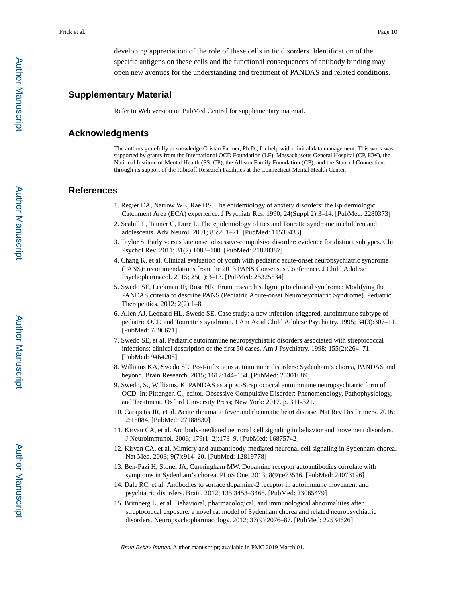developing appreciation of the role of these cells in tic disorders. Identification of the specific antigens on these cells and the functional consequences of antibody binding may open new avenues for the understanding and treatment of PANDAS and related conditions.

## **Supplementary Material**

Refer to Web version on PubMed Central for supplementary material.

## **Acknowledgments**

The authors gratefully acknowledge Cristan Farmer, Ph.D., for help with clinical data management. This work was supported by grants from the International OCD Foundation (LF), Massachusetts General Hospital (CP, KW), the National Institute of Mental Health (SS, CP), the Allison Family Foundation (CP), and the State of Connecticut through its support of the Ribicoff Research Facilities at the Connecticut Mental Health Center.

## **References**

- 1. Regier DA, Narrow WE, Rae DS. The epidemiology of anxiety disorders: the Epidemiologic Catchment Area (ECA) experience. J Psychiatr Res. 1990; 24(Suppl 2):3–14. [PubMed: 2280373]
- 2. Scahill L, Tanner C, Dure L. The epidemiology of tics and Tourette syndrome in children and adolescents. Adv Neurol. 2001; 85:261–71. [PubMed: 11530433]
- 3. Taylor S. Early versus late onset obsessive-compulsive disorder: evidence for distinct subtypes. Clin Psychol Rev. 2011; 31(7):1083–100. [PubMed: 21820387]
- 4. Chang K, et al. Clinical evaluation of youth with pediatric acute-onset neuropsychiatric syndrome (PANS): recommendations from the 2013 PANS Consensus Conference. J Child Adolesc Psychopharmacol. 2015; 25(1):3–13. [PubMed: 25325534]
- 5. Swedo SE, Leckman JF, Rose NR. From research subgroup to clinical syndrome: Modifying the PANDAS criteria to describe PANS (Pediatric Acute-onset Neuropsychiatric Syndrome). Pediatric Therapeutics. 2012; 2(2):1–8.
- 6. Allen AJ, Leonard HL, Swedo SE. Case study: a new infection-triggered, autoimmune subtype of pediatric OCD and Tourette's syndrome. J Am Acad Child Adolesc Psychiatry. 1995; 34(3):307–11. [PubMed: 7896671]
- 7. Swedo SE, et al. Pediatric autoimmune neuropsychiatric disorders associated with streptococcal infections: clinical description of the first 50 cases. Am J Psychiatry. 1998; 155(2):264–71. [PubMed: 9464208]
- 8. Williams KA, Swedo SE. Post-infectious autoimmune disorders: Sydenham's chorea, PANDAS and beyond. Brain Research. 2015; 1617:144–154. [PubMed: 25301689]
- 9. Swedo, S., Williams, K. PANDAS as a post-Streptococcal autoimmune neuropsychiatric form of OCD. In: Pittenger, C., editor. Obsessive-Compulsive Disorder: Phenomenology, Pathophysiology, and Treatment. Oxford University Press; New York: 2017. p. 311-321.
- 10. Carapetis JR, et al. Acute rheumatic fever and rheumatic heart disease. Nat Rev Dis Primers. 2016; 2:15084. [PubMed: 27188830]
- 11. Kirvan CA, et al. Antibody-mediated neuronal cell signaling in behavior and movement disorders. J Neuroimmunol. 2006; 179(1–2):173–9. [PubMed: 16875742]
- 12. Kirvan CA, et al. Mimicry and autoantibody-mediated neuronal cell signaling in Sydenham chorea. Nat Med. 2003; 9(7):914–20. [PubMed: 12819778]
- 13. Ben-Pazi H, Stoner JA, Cunningham MW. Dopamine receptor autoantibodies correlate with symptoms in Sydenham's chorea. PLoS One. 2013; 8(9):e73516. [PubMed: 24073196]
- 14. Dale RC, et al. Antibodies to surface dopamine-2 receptor in autoimmune movement and psychiatric disorders. Brain. 2012; 135:3453–3468. [PubMed: 23065479]
- 15. Brimberg L, et al. Behavioral, pharmacological, and immunological abnormalities after streptococcal exposure: a novel rat model of Sydenham chorea and related neuropsychiatric disorders. Neuropsychopharmacology. 2012; 37(9):2076–87. [PubMed: 22534626]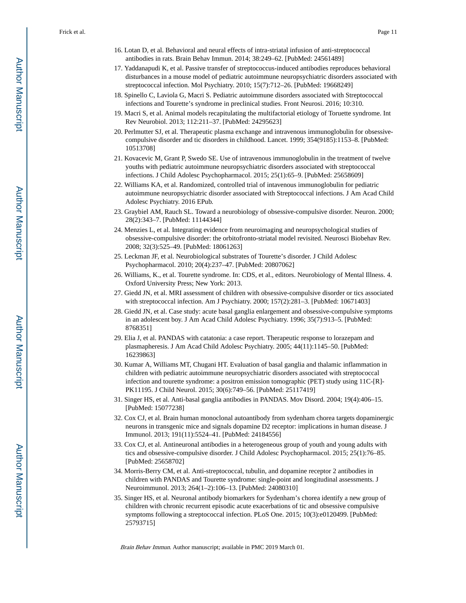- 16. Lotan D, et al. Behavioral and neural effects of intra-striatal infusion of anti-streptococcal antibodies in rats. Brain Behav Immun. 2014; 38:249–62. [PubMed: 24561489]
- 17. Yaddanapudi K, et al. Passive transfer of streptococcus-induced antibodies reproduces behavioral disturbances in a mouse model of pediatric autoimmune neuropsychiatric disorders associated with streptococcal infection. Mol Psychiatry. 2010; 15(7):712–26. [PubMed: 19668249]
- 18. Spinello C, Laviola G, Macri S. Pediatric autoimmune disorders associated with Streptococcal infections and Tourette's syndrome in preclinical studies. Front Neurosi. 2016; 10:310.
- 19. Macri S, et al. Animal models recapitulating the multifactorial etiology of Toruette syndrome. Int Rev Neurobiol. 2013; 112:211–37. [PubMed: 24295623]
- 20. Perlmutter SJ, et al. Therapeutic plasma exchange and intravenous immunoglobulin for obsessivecompulsive disorder and tic disorders in childhood. Lancet. 1999; 354(9185):1153–8. [PubMed: 10513708]
- 21. Kovacevic M, Grant P, Swedo SE. Use of intravenous immunoglobulin in the treatment of twelve youths with pediatric autoimmune neuropsychiatric disorders associated with streptococcal infections. J Child Adolesc Psychopharmacol. 2015; 25(1):65–9. [PubMed: 25658609]
- 22. Williams KA, et al. Randomized, controlled trial of intavenous immunoglobulin for pediatric autoimmune neuropsychiatric disorder associated with Streptococcal infections. J Am Acad Child Adolesc Psychiatry. 2016 EPub.
- 23. Graybiel AM, Rauch SL. Toward a neurobiology of obsessive-compulsive disorder. Neuron. 2000; 28(2):343–7. [PubMed: 11144344]
- 24. Menzies L, et al. Integrating evidence from neuroimaging and neuropsychological studies of obsessive-compulsive disorder: the orbitofronto-striatal model revisited. Neurosci Biobehav Rev. 2008; 32(3):525–49. [PubMed: 18061263]
- 25. Leckman JF, et al. Neurobiological substrates of Tourette's disorder. J Child Adolesc Psychopharmacol. 2010; 20(4):237–47. [PubMed: 20807062]
- 26. Williams, K., et al. Tourette syndrome. In: CDS, et al., editors. Neurobiology of Mental Illness. 4. Oxford University Press; New York: 2013.
- 27. Giedd JN, et al. MRI assessment of children with obsessive-compulsive disorder or tics associated with streptococcal infection. Am J Psychiatry. 2000; 157(2):281–3. [PubMed: 10671403]
- 28. Giedd JN, et al. Case study: acute basal ganglia enlargement and obsessive-compulsive symptoms in an adolescent boy. J Am Acad Child Adolesc Psychiatry. 1996; 35(7):913–5. [PubMed: 8768351]
- 29. Elia J, et al. PANDAS with catatonia: a case report. Therapeutic response to lorazepam and plasmapheresis. J Am Acad Child Adolesc Psychiatry. 2005; 44(11):1145–50. [PubMed: 16239863]
- 30. Kumar A, Williams MT, Chugani HT. Evaluation of basal ganglia and thalamic inflammation in children with pediatric autoimmune neuropsychiatric disorders associated with streptococcal infection and tourette syndrome: a positron emission tomographic (PET) study using 11C-[R]- PK11195. J Child Neurol. 2015; 30(6):749–56. [PubMed: 25117419]
- 31. Singer HS, et al. Anti-basal ganglia antibodies in PANDAS. Mov Disord. 2004; 19(4):406–15. [PubMed: 15077238]
- 32. Cox CJ, et al. Brain human monoclonal autoantibody from sydenham chorea targets dopaminergic neurons in transgenic mice and signals dopamine D2 receptor: implications in human disease. J Immunol. 2013; 191(11):5524–41. [PubMed: 24184556]
- 33. Cox CJ, et al. Antineuronal antibodies in a heterogeneous group of youth and young adults with tics and obsessive-compulsive disorder. J Child Adolesc Psychopharmacol. 2015; 25(1):76–85. [PubMed: 25658702]
- 34. Morris-Berry CM, et al. Anti-streptococcal, tubulin, and dopamine receptor 2 antibodies in children with PANDAS and Tourette syndrome: single-point and longitudinal assessments. J Neuroimmunol. 2013; 264(1–2):106–13. [PubMed: 24080310]
- 35. Singer HS, et al. Neuronal antibody biomarkers for Sydenham's chorea identify a new group of children with chronic recurrent episodic acute exacerbations of tic and obsessive compulsive symptoms following a streptococcal infection. PLoS One. 2015; 10(3):e0120499. [PubMed: 25793715]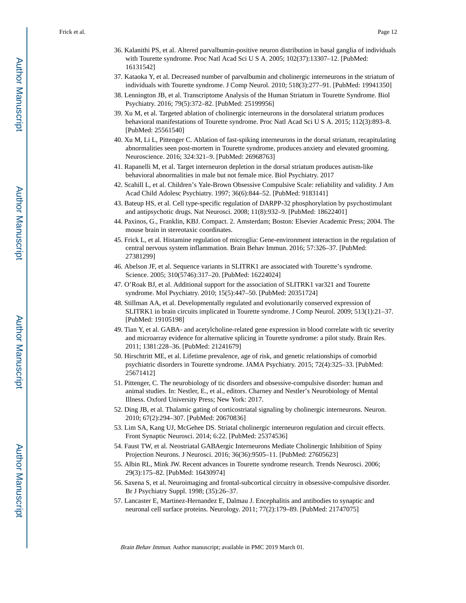- 36. Kalanithi PS, et al. Altered parvalbumin-positive neuron distribution in basal ganglia of individuals with Tourette syndrome. Proc Natl Acad Sci U S A. 2005; 102(37):13307–12. [PubMed: 16131542]
- 37. Kataoka Y, et al. Decreased number of parvalbumin and cholinergic interneurons in the striatum of individuals with Tourette syndrome. J Comp Neurol. 2010; 518(3):277–91. [PubMed: 19941350]
- 38. Lennington JB, et al. Transcriptome Analysis of the Human Striatum in Tourette Syndrome. Biol Psychiatry. 2016; 79(5):372–82. [PubMed: 25199956]
- 39. Xu M, et al. Targeted ablation of cholinergic interneurons in the dorsolateral striatum produces behavioral manifestations of Tourette syndrome. Proc Natl Acad Sci U S A. 2015; 112(3):893–8. [PubMed: 25561540]
- 40. Xu M, Li L, Pittenger C. Ablation of fast-spiking interneurons in the dorsal striatum, recapitulating abnormalities seen post-mortem in Tourette syndrome, produces anxiety and elevated grooming. Neuroscience. 2016; 324:321–9. [PubMed: 26968763]
- 41. Rapanelli M, et al. Target interneuron depletion in the dorsal striatum produces autism-like behavioral abnormalities in male but not female mice. Biol Psychiatry. 2017
- 42. Scahill L, et al. Children's Yale-Brown Obsessive Compulsive Scale: reliability and validity. J Am Acad Child Adolesc Psychiatry. 1997; 36(6):844–52. [PubMed: 9183141]
- 43. Bateup HS, et al. Cell type-specific regulation of DARPP-32 phosphorylation by psychostimulant and antipsychotic drugs. Nat Neurosci. 2008; 11(8):932–9. [PubMed: 18622401]
- 44. Paxinos, G., Franklin, KBJ. Compact. 2. Amsterdam; Boston: Elsevier Academic Press; 2004. The mouse brain in stereotaxic coordinates.
- 45. Frick L, et al. Histamine regulation of microglia: Gene-environment interaction in the regulation of central nervous system inflammation. Brain Behav Immun. 2016; 57:326–37. [PubMed: 27381299]
- 46. Abelson JF, et al. Sequence variants in SLITRK1 are associated with Tourette's syndrome. Science. 2005; 310(5746):317–20. [PubMed: 16224024]
- 47. O'Roak BJ, et al. Additional support for the association of SLITRK1 var321 and Tourette syndrome. Mol Psychiatry. 2010; 15(5):447–50. [PubMed: 20351724]
- 48. Stillman AA, et al. Developmentally regulated and evolutionarily conserved expression of SLITRK1 in brain circuits implicated in Tourette syndrome. J Comp Neurol. 2009; 513(1):21–37. [PubMed: 19105198]
- 49. Tian Y, et al. GABA- and acetylcholine-related gene expression in blood correlate with tic severity and microarray evidence for alternative splicing in Tourette syndrome: a pilot study. Brain Res. 2011; 1381:228–36. [PubMed: 21241679]
- 50. Hirschtritt ME, et al. Lifetime prevalence, age of risk, and genetic relationships of comorbid psychiatric disorders in Tourette syndrome. JAMA Psychiatry. 2015; 72(4):325–33. [PubMed: 25671412]
- 51. Pittenger, C. The neurobiology of tic disorders and obsessive-compulsive disorder: human and animal studies. In: Nestler, E., et al., editors. Charney and Nestler's Neurobiology of Mental Illness. Oxford University Press; New York: 2017.
- 52. Ding JB, et al. Thalamic gating of corticostriatal signaling by cholinergic interneurons. Neuron. 2010; 67(2):294–307. [PubMed: 20670836]
- 53. Lim SA, Kang UJ, McGehee DS. Striatal cholinergic interneuron regulation and circuit effects. Front Synaptic Neurosci. 2014; 6:22. [PubMed: 25374536]
- 54. Faust TW, et al. Neostriatal GABAergic Interneurons Mediate Cholinergic Inhibition of Spiny Projection Neurons. J Neurosci. 2016; 36(36):9505–11. [PubMed: 27605623]
- 55. Albin RL, Mink JW. Recent advances in Tourette syndrome research. Trends Neurosci. 2006; 29(3):175–82. [PubMed: 16430974]
- 56. Saxena S, et al. Neuroimaging and frontal-subcortical circuitry in obsessive-compulsive disorder. Br J Psychiatry Suppl. 1998; (35):26–37.
- 57. Lancaster E, Martinez-Hernandez E, Dalmau J. Encephalitis and antibodies to synaptic and neuronal cell surface proteins. Neurology. 2011; 77(2):179–89. [PubMed: 21747075]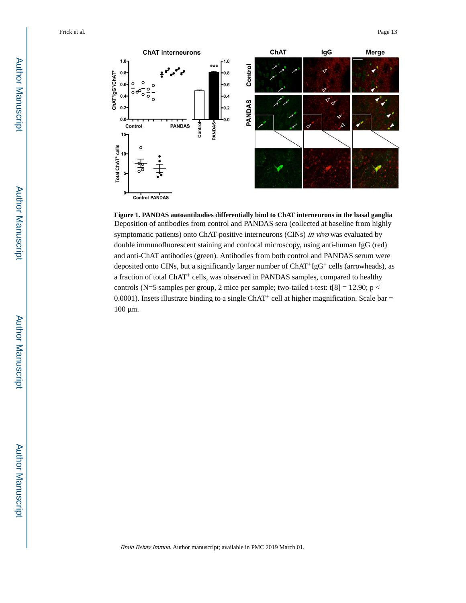

**Figure 1. PANDAS autoantibodies differentially bind to ChAT interneurons in the basal ganglia** Deposition of antibodies from control and PANDAS sera (collected at baseline from highly symptomatic patients) onto ChAT-positive interneurons (CINs) in vivo was evaluated by double immunofluorescent staining and confocal microscopy, using anti-human IgG (red) and anti-ChAT antibodies (green). Antibodies from both control and PANDAS serum were deposited onto CINs, but a significantly larger number of  $ChAT<sup>+</sup>IGG<sup>+</sup>$  cells (arrowheads), as a fraction of total ChAT+ cells, was observed in PANDAS samples, compared to healthy controls (N=5 samples per group, 2 mice per sample; two-tailed t-test:  $t[8] = 12.90$ ; p < 0.0001). Insets illustrate binding to a single ChAT<sup>+</sup> cell at higher magnification. Scale bar = 100 μm.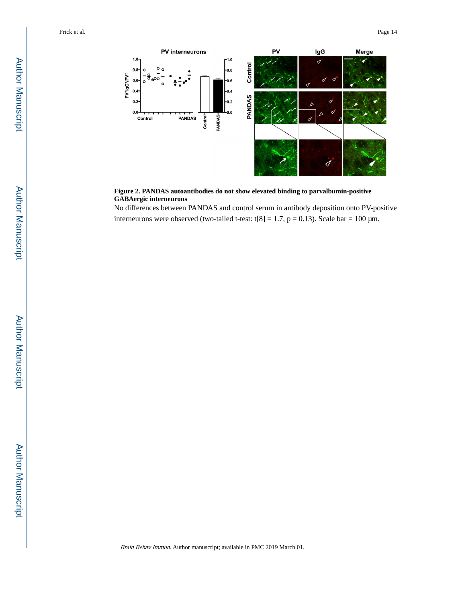

#### **Figure 2. PANDAS autoantibodies do not show elevated binding to parvalbumin-positive GABAergic interneurons**

No differences between PANDAS and control serum in antibody deposition onto PV-positive interneurons were observed (two-tailed t-test: t[8] = 1.7,  $p = 0.13$ ). Scale bar = 100  $\mu$ m.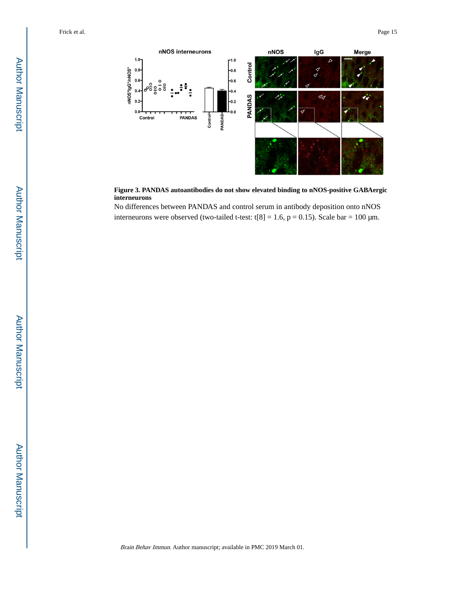

**Figure 3. PANDAS autoantibodies do not show elevated binding to nNOS-positive GABAergic interneurons**

No differences between PANDAS and control serum in antibody deposition onto nNOS interneurons were observed (two-tailed t-test: t[8] = 1.6,  $p = 0.15$ ). Scale bar = 100  $\mu$ m.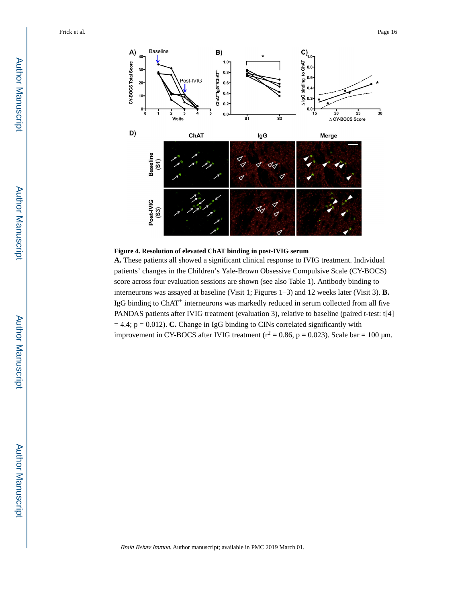

## **Figure 4. Resolution of elevated ChAT binding in post-IVIG serum**

**A.** These patients all showed a significant clinical response to IVIG treatment. Individual patients' changes in the Children's Yale-Brown Obsessive Compulsive Scale (CY-BOCS) score across four evaluation sessions are shown (see also Table 1). Antibody binding to interneurons was assayed at baseline (Visit 1; Figures 1–3) and 12 weeks later (Visit 3). **B.**  IgG binding to ChAT+ interneurons was markedly reduced in serum collected from all five PANDAS patients after IVIG treatment (evaluation 3), relative to baseline (paired t-test: t[4]  $= 4.4$ ;  $p = 0.012$ ). **C.** Change in IgG binding to CINs correlated significantly with improvement in CY-BOCS after IVIG treatment ( $r^2 = 0.86$ , p = 0.023). Scale bar = 100 µm.